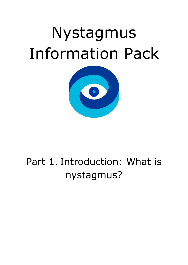# Nystagmus Information Pack



# Part 1. Introduction: What is nystagmus?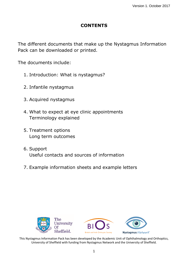#### **CONTENTS**

The different documents that make up the Nystagmus Information Pack can be downloaded or printed.

The documents include:

- 1. Introduction: What is nystagmus?
- 2. Infantile nystagmus
- 3. Acquired nystagmus
- 4. What to expect at eye clinic appointments Terminology explained
- 5. Treatment options Long term outcomes
- 6. Support Useful contacts and sources of information
- 7. Example information sheets and example letters



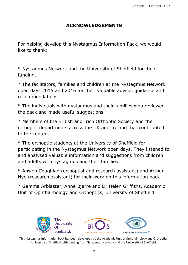### **ACKNOWLEDGEMENTS**

For helping develop this Nystagmus Information Pack, we would like to thank:

\* Nystagmus Network and the University of Sheffield for their funding.

\* The facilitators, families and children at the Nystagmus Network open days 2015 and 2016 for their valuable advice, guidance and recommendations.

\* The individuals with nystagmus and their families who reviewed the pack and made useful suggestions.

\* Members of the British and Irish Orthoptic Society and the orthoptic departments across the UK and Ireland that contributed to the content.

\* The orthoptic students at the University of Sheffield for participating in the Nystagmus Network open days. They listened to and analysed valuable information and suggestions from children and adults with nystagmus and their families.

\* Anwen Coughlan (orthoptist and research assistant) and Arthur Nye (research assistant) for their work on this information pack.

\* Gemma Arblaster, Anne Bjerre and Dr Helen Griffiths, Academic Unit of Ophthalmology and Orthoptics, University of Sheffield.

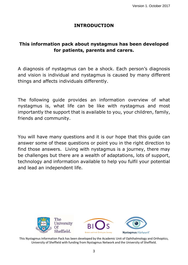#### **INTRODUCTION**

## **This information pack about nystagmus has been developed for patients, parents and carers.**

A diagnosis of nystagmus can be a shock. Each person's diagnosis and vision is individual and nystagmus is caused by many different things and affects individuals differently.

The following guide provides an information overview of what nystagmus is, what life can be like with nystagmus and most importantly the support that is available to you, your children, family, friends and community.

You will have many questions and it is our hope that this guide can answer some of these questions or point you in the right direction to find those answers. Living with nystagmus is a journey, there may be challenges but there are a wealth of adaptations, lots of support, technology and information available to help you fulfil your potential and lead an independent life.

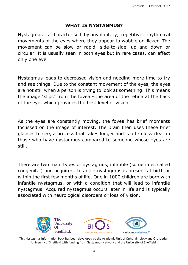#### **WHAT IS NYSTAGMUS?**

Nystagmus is characterised by involuntary, repetitive, rhythmical movements of the eyes where they appear to wobble or flicker. The movement can be slow or rapid, side-to-side, up and down or circular. It is usually seen in both eyes but in rare cases, can affect only one eye.

Nystagmus leads to decreased vision and needing more time to try and see things. Due to the constant movement of the eyes, the eyes are not still when a person is trying to look at something. This means the image "slips" from the fovea - the area of the retina at the back of the eye, which provides the best level of vision.

As the eyes are constantly moving, the fovea has brief moments focussed on the image of interest. The brain then uses these brief glances to see, a process that takes longer and is often less clear in those who have nystagmus compared to someone whose eyes are still.

There are two main types of nystagmus, infantile (sometimes called congenital) and acquired. Infantile nystagmus is present at birth or within the first few months of life. One in 1000 children are born with infantile nystagmus, or with a condition that will lead to infantile nystagmus. Acquired nystagmus occurs later in life and is typically associated with neurological disorders or loss of vision.